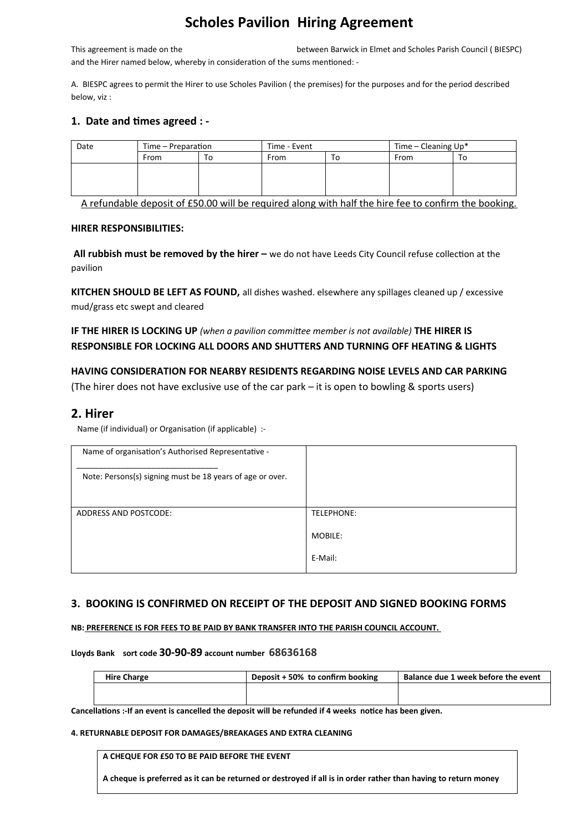# **Scholes Pavilion Hiring Agreement**

This agreement is made on the between Barwick in Elmet and Scholes Parish Council ( BIESPC) and the Hirer named below, whereby in consideration of the sums mentioned: -

A. BIESPC agrees to permit the Hirer to use Scholes Pavilion ( the premises) for the purposes and for the period described below, viz :

#### **1. Date and times agreed : -**

| Date | Time – Preparation |    | Time - Event |    | Time – Cleaning $Up^*$ |    |
|------|--------------------|----|--------------|----|------------------------|----|
|      | From               | ١o | From         | То | From                   | То |
|      |                    |    |              |    |                        |    |
|      |                    |    |              |    |                        |    |
|      |                    |    |              |    |                        |    |

A refundable deposit of £50.00 will be required along with half the hire fee to confirm the booking.

#### **HIRER RESPONSIBILITIES:**

 **All rubbish must be removed by the hirer –** we do not have Leeds City Council refuse collection at the pavilion

**KITCHEN SHOULD BE LEFT AS FOUND,** all dishes washed. elsewhere any spillages cleaned up / excessive mud/grass etc swept and cleared

**IF THE HIRER IS LOCKING UP** *(when a pavilion committee member is not available)* **THE HIRER IS RESPONSIBLE FOR LOCKING ALL DOORS AND SHUTTERS AND TURNING OFF HEATING & LIGHTS**

**HAVING CONSIDERATION FOR NEARBY RESIDENTS REGARDING NOISE LEVELS AND CAR PARKING**  (The hirer does not have exclusive use of the car park – it is open to bowling & sports users)

## **2. Hirer**

Name (if individual) or Organisation (if applicable) :-

| Name of organisation's Authorised Representative -<br>Note: Persons(s) signing must be 18 years of age or over. |            |
|-----------------------------------------------------------------------------------------------------------------|------------|
|                                                                                                                 |            |
| ADDRESS AND POSTCODE:                                                                                           | TELEPHONE: |
|                                                                                                                 | MOBILE:    |
|                                                                                                                 | E-Mail:    |

### **3. BOOKING IS CONFIRMED ON RECEIPT OF THE DEPOSIT AND SIGNED BOOKING FORMS**

#### **NB: PREFERENCE IS FOR FEES TO BE PAID BY BANK TRANSFER INTO THE PARISH COUNCIL ACCOUNT.**

#### **Lloyds Bank sort code 30-90-89 account number 68636168**

| <b>Hire Charge</b> | Deposit + 50% to confirm booking | Balance due 1 week before the event |
|--------------------|----------------------------------|-------------------------------------|
|                    |                                  |                                     |
|                    |                                  |                                     |

**Cancellations :-If an event is cancelled the deposit will be refunded if 4 weeks notice has been given.**

#### **4. RETURNABLE DEPOSIT FOR DAMAGES/BREAKAGES AND EXTRA CLEANING**

**A CHEQUE FOR £50 TO BE PAID BEFORE THE EVENT** 

**A cheque is preferred as it can be returned or destroyed if all is in order rather than having to return money**